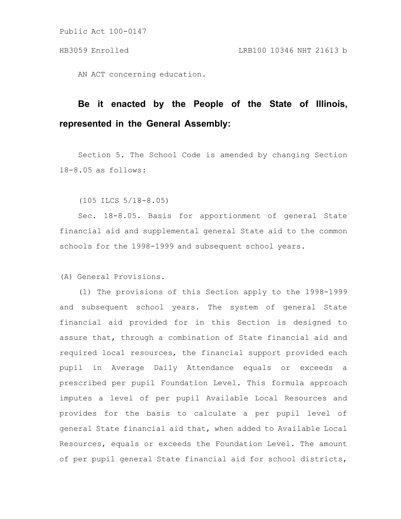AN ACT concerning education.

# **Be it enacted by the People of the State of Illinois, represented in the General Assembly:**

Section 5. The School Code is amended by changing Section 18-8.05 as follows:

(105 ILCS 5/18-8.05)

Sec. 18-8.05. Basis for apportionment of general State financial aid and supplemental general State aid to the common schools for the 1998-1999 and subsequent school years.

(A) General Provisions.

(1) The provisions of this Section apply to the 1998-1999 and subsequent school years. The system of general State financial aid provided for in this Section is designed to assure that, through a combination of State financial aid and required local resources, the financial support provided each pupil in Average Daily Attendance equals or exceeds a prescribed per pupil Foundation Level. This formula approach imputes a level of per pupil Available Local Resources and provides for the basis to calculate a per pupil level of general State financial aid that, when added to Available Local Resources, equals or exceeds the Foundation Level. The amount of per pupil general State financial aid for school districts,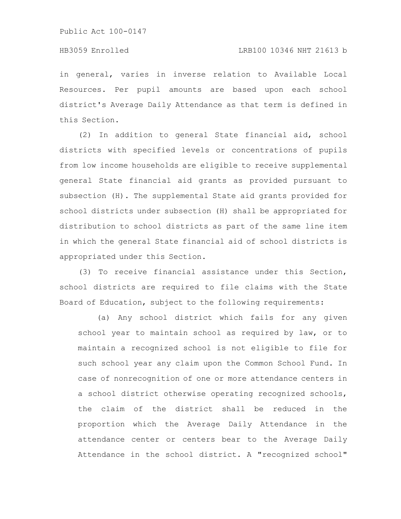in general, varies in inverse relation to Available Local Resources. Per pupil amounts are based upon each school district's Average Daily Attendance as that term is defined in this Section.

(2) In addition to general State financial aid, school districts with specified levels or concentrations of pupils from low income households are eligible to receive supplemental general State financial aid grants as provided pursuant to subsection (H). The supplemental State aid grants provided for school districts under subsection (H) shall be appropriated for distribution to school districts as part of the same line item in which the general State financial aid of school districts is appropriated under this Section.

(3) To receive financial assistance under this Section, school districts are required to file claims with the State Board of Education, subject to the following requirements:

(a) Any school district which fails for any given school year to maintain school as required by law, or to maintain a recognized school is not eligible to file for such school year any claim upon the Common School Fund. In case of nonrecognition of one or more attendance centers in a school district otherwise operating recognized schools, the claim of the district shall be reduced in the proportion which the Average Daily Attendance in the attendance center or centers bear to the Average Daily Attendance in the school district. A "recognized school"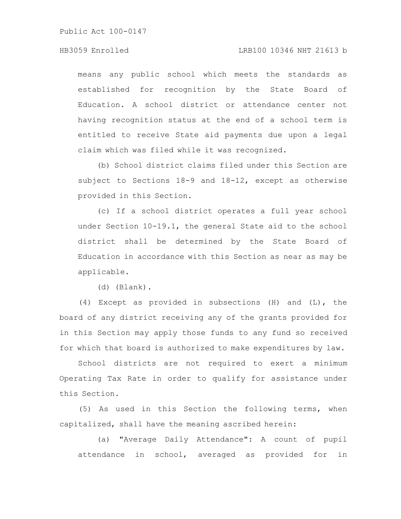### HB3059 Enrolled LRB100 10346 NHT 21613 b

means any public school which meets the standards as established for recognition by the State Board of Education. A school district or attendance center not having recognition status at the end of a school term is entitled to receive State aid payments due upon a legal claim which was filed while it was recognized.

(b) School district claims filed under this Section are subject to Sections 18-9 and 18-12, except as otherwise provided in this Section.

(c) If a school district operates a full year school under Section 10-19.1, the general State aid to the school district shall be determined by the State Board of Education in accordance with this Section as near as may be applicable.

(d) (Blank).

(4) Except as provided in subsections (H) and (L), the board of any district receiving any of the grants provided for in this Section may apply those funds to any fund so received for which that board is authorized to make expenditures by law.

School districts are not required to exert a minimum Operating Tax Rate in order to qualify for assistance under this Section.

(5) As used in this Section the following terms, when capitalized, shall have the meaning ascribed herein:

(a) "Average Daily Attendance": A count of pupil attendance in school, averaged as provided for in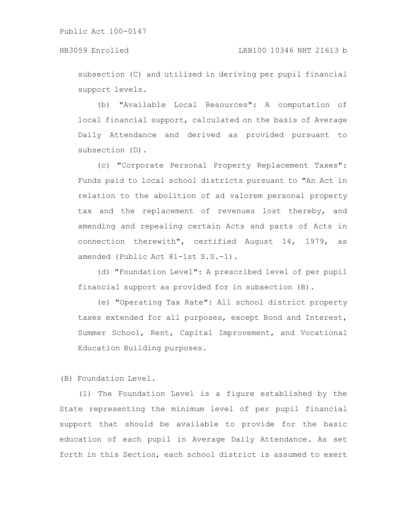subsection (C) and utilized in deriving per pupil financial support levels.

(b) "Available Local Resources": A computation of local financial support, calculated on the basis of Average Daily Attendance and derived as provided pursuant to subsection (D).

(c) "Corporate Personal Property Replacement Taxes": Funds paid to local school districts pursuant to "An Act in relation to the abolition of ad valorem personal property tax and the replacement of revenues lost thereby, and amending and repealing certain Acts and parts of Acts in connection therewith", certified August 14, 1979, as amended (Public Act 81-1st S.S.-1).

(d) "Foundation Level": A prescribed level of per pupil financial support as provided for in subsection (B).

(e) "Operating Tax Rate": All school district property taxes extended for all purposes, except Bond and Interest, Summer School, Rent, Capital Improvement, and Vocational Education Building purposes.

(B) Foundation Level.

(1) The Foundation Level is a figure established by the State representing the minimum level of per pupil financial support that should be available to provide for the basic education of each pupil in Average Daily Attendance. As set forth in this Section, each school district is assumed to exert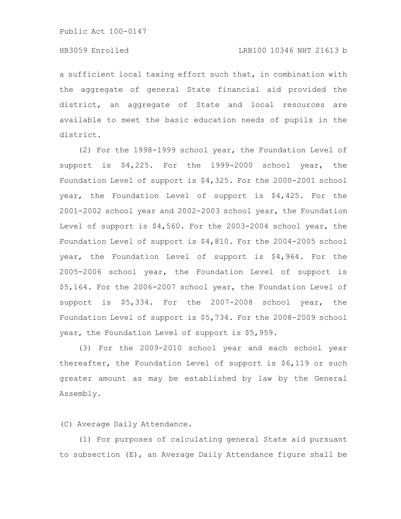a sufficient local taxing effort such that, in combination with the aggregate of general State financial aid provided the district, an aggregate of State and local resources are available to meet the basic education needs of pupils in the district.

(2) For the 1998-1999 school year, the Foundation Level of support is \$4,225. For the 1999-2000 school year, the Foundation Level of support is \$4,325. For the 2000-2001 school year, the Foundation Level of support is \$4,425. For the 2001-2002 school year and 2002-2003 school year, the Foundation Level of support is \$4,560. For the 2003-2004 school year, the Foundation Level of support is \$4,810. For the 2004-2005 school year, the Foundation Level of support is \$4,964. For the 2005-2006 school year, the Foundation Level of support is \$5,164. For the 2006-2007 school year, the Foundation Level of support is \$5,334. For the 2007-2008 school year, the Foundation Level of support is \$5,734. For the 2008-2009 school year, the Foundation Level of support is \$5,959.

(3) For the 2009-2010 school year and each school year thereafter, the Foundation Level of support is \$6,119 or such greater amount as may be established by law by the General Assembly.

(C) Average Daily Attendance.

(1) For purposes of calculating general State aid pursuant to subsection (E), an Average Daily Attendance figure shall be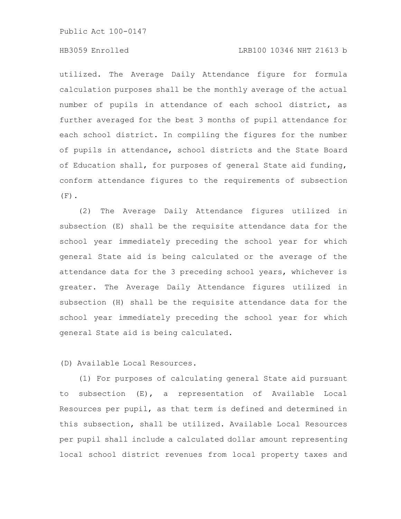# HB3059 Enrolled LRB100 10346 NHT 21613 b

utilized. The Average Daily Attendance figure for formula calculation purposes shall be the monthly average of the actual number of pupils in attendance of each school district, as further averaged for the best 3 months of pupil attendance for each school district. In compiling the figures for the number of pupils in attendance, school districts and the State Board of Education shall, for purposes of general State aid funding, conform attendance figures to the requirements of subsection  $(F)$ .

(2) The Average Daily Attendance figures utilized in subsection (E) shall be the requisite attendance data for the school year immediately preceding the school year for which general State aid is being calculated or the average of the attendance data for the 3 preceding school years, whichever is greater. The Average Daily Attendance figures utilized in subsection (H) shall be the requisite attendance data for the school year immediately preceding the school year for which general State aid is being calculated.

(D) Available Local Resources.

(1) For purposes of calculating general State aid pursuant to subsection (E), a representation of Available Local Resources per pupil, as that term is defined and determined in this subsection, shall be utilized. Available Local Resources per pupil shall include a calculated dollar amount representing local school district revenues from local property taxes and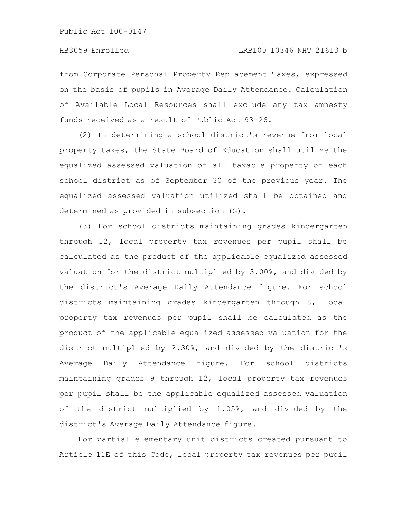from Corporate Personal Property Replacement Taxes, expressed on the basis of pupils in Average Daily Attendance. Calculation of Available Local Resources shall exclude any tax amnesty funds received as a result of Public Act 93-26.

(2) In determining a school district's revenue from local property taxes, the State Board of Education shall utilize the equalized assessed valuation of all taxable property of each school district as of September 30 of the previous year. The equalized assessed valuation utilized shall be obtained and determined as provided in subsection (G).

(3) For school districts maintaining grades kindergarten through 12, local property tax revenues per pupil shall be calculated as the product of the applicable equalized assessed valuation for the district multiplied by 3.00%, and divided by the district's Average Daily Attendance figure. For school districts maintaining grades kindergarten through 8, local property tax revenues per pupil shall be calculated as the product of the applicable equalized assessed valuation for the district multiplied by 2.30%, and divided by the district's Average Daily Attendance figure. For school districts maintaining grades 9 through 12, local property tax revenues per pupil shall be the applicable equalized assessed valuation of the district multiplied by 1.05%, and divided by the district's Average Daily Attendance figure.

For partial elementary unit districts created pursuant to Article 11E of this Code, local property tax revenues per pupil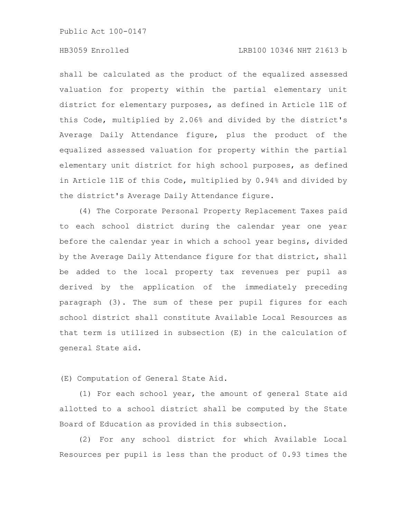# HB3059 Enrolled LRB100 10346 NHT 21613 b

shall be calculated as the product of the equalized assessed valuation for property within the partial elementary unit district for elementary purposes, as defined in Article 11E of this Code, multiplied by 2.06% and divided by the district's Average Daily Attendance figure, plus the product of the equalized assessed valuation for property within the partial elementary unit district for high school purposes, as defined in Article 11E of this Code, multiplied by 0.94% and divided by the district's Average Daily Attendance figure.

(4) The Corporate Personal Property Replacement Taxes paid to each school district during the calendar year one year before the calendar year in which a school year begins, divided by the Average Daily Attendance figure for that district, shall be added to the local property tax revenues per pupil as derived by the application of the immediately preceding paragraph (3). The sum of these per pupil figures for each school district shall constitute Available Local Resources as that term is utilized in subsection (E) in the calculation of general State aid.

(E) Computation of General State Aid.

(1) For each school year, the amount of general State aid allotted to a school district shall be computed by the State Board of Education as provided in this subsection.

(2) For any school district for which Available Local Resources per pupil is less than the product of 0.93 times the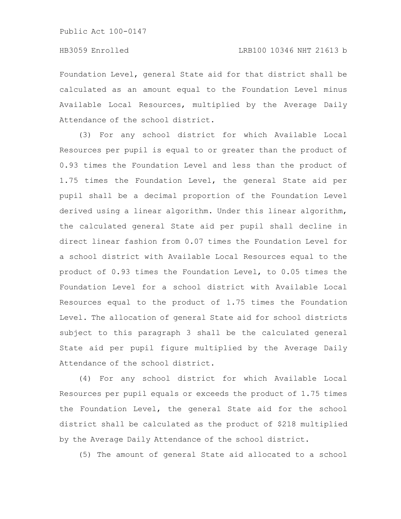Foundation Level, general State aid for that district shall be calculated as an amount equal to the Foundation Level minus Available Local Resources, multiplied by the Average Daily Attendance of the school district.

(3) For any school district for which Available Local Resources per pupil is equal to or greater than the product of 0.93 times the Foundation Level and less than the product of 1.75 times the Foundation Level, the general State aid per pupil shall be a decimal proportion of the Foundation Level derived using a linear algorithm. Under this linear algorithm, the calculated general State aid per pupil shall decline in direct linear fashion from 0.07 times the Foundation Level for a school district with Available Local Resources equal to the product of 0.93 times the Foundation Level, to 0.05 times the Foundation Level for a school district with Available Local Resources equal to the product of 1.75 times the Foundation Level. The allocation of general State aid for school districts subject to this paragraph 3 shall be the calculated general State aid per pupil figure multiplied by the Average Daily Attendance of the school district.

(4) For any school district for which Available Local Resources per pupil equals or exceeds the product of 1.75 times the Foundation Level, the general State aid for the school district shall be calculated as the product of \$218 multiplied by the Average Daily Attendance of the school district.

(5) The amount of general State aid allocated to a school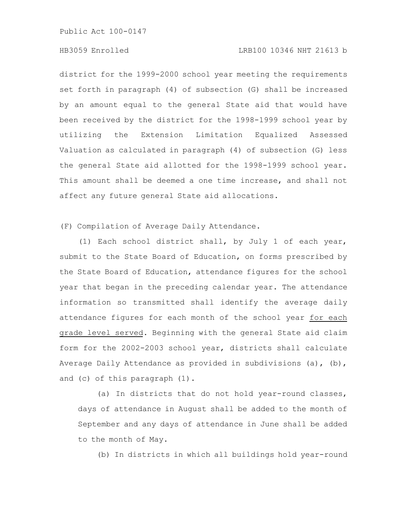# HB3059 Enrolled LRB100 10346 NHT 21613 b

district for the 1999-2000 school year meeting the requirements set forth in paragraph (4) of subsection (G) shall be increased by an amount equal to the general State aid that would have been received by the district for the 1998-1999 school year by utilizing the Extension Limitation Equalized Assessed Valuation as calculated in paragraph (4) of subsection (G) less the general State aid allotted for the 1998-1999 school year. This amount shall be deemed a one time increase, and shall not affect any future general State aid allocations.

(F) Compilation of Average Daily Attendance.

(1) Each school district shall, by July 1 of each year, submit to the State Board of Education, on forms prescribed by the State Board of Education, attendance figures for the school year that began in the preceding calendar year. The attendance information so transmitted shall identify the average daily attendance figures for each month of the school year for each grade level served. Beginning with the general State aid claim form for the 2002-2003 school year, districts shall calculate Average Daily Attendance as provided in subdivisions (a), (b), and (c) of this paragraph (1).

(a) In districts that do not hold year-round classes, days of attendance in August shall be added to the month of September and any days of attendance in June shall be added to the month of May.

(b) In districts in which all buildings hold year-round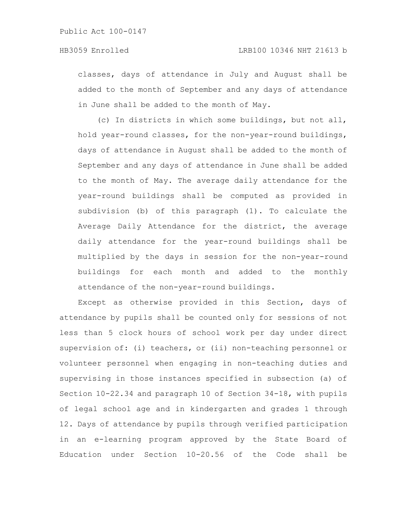classes, days of attendance in July and August shall be added to the month of September and any days of attendance in June shall be added to the month of May.

(c) In districts in which some buildings, but not all, hold year-round classes, for the non-year-round buildings, days of attendance in August shall be added to the month of September and any days of attendance in June shall be added to the month of May. The average daily attendance for the year-round buildings shall be computed as provided in subdivision (b) of this paragraph (1). To calculate the Average Daily Attendance for the district, the average daily attendance for the year-round buildings shall be multiplied by the days in session for the non-year-round buildings for each month and added to the monthly attendance of the non-year-round buildings.

Except as otherwise provided in this Section, days of attendance by pupils shall be counted only for sessions of not less than 5 clock hours of school work per day under direct supervision of: (i) teachers, or (ii) non-teaching personnel or volunteer personnel when engaging in non-teaching duties and supervising in those instances specified in subsection (a) of Section 10-22.34 and paragraph 10 of Section 34-18, with pupils of legal school age and in kindergarten and grades 1 through 12. Days of attendance by pupils through verified participation in an e-learning program approved by the State Board of Education under Section 10-20.56 of the Code shall be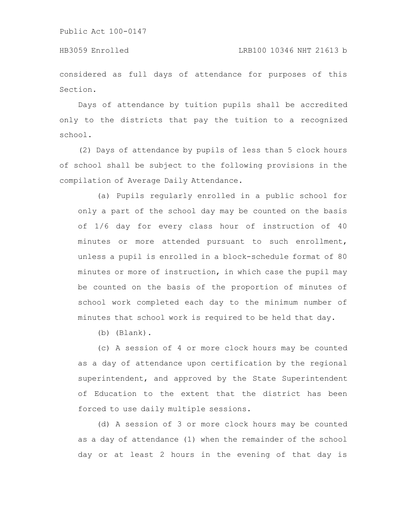considered as full days of attendance for purposes of this Section.

Days of attendance by tuition pupils shall be accredited only to the districts that pay the tuition to a recognized school.

(2) Days of attendance by pupils of less than 5 clock hours of school shall be subject to the following provisions in the compilation of Average Daily Attendance.

(a) Pupils regularly enrolled in a public school for only a part of the school day may be counted on the basis of 1/6 day for every class hour of instruction of 40 minutes or more attended pursuant to such enrollment, unless a pupil is enrolled in a block-schedule format of 80 minutes or more of instruction, in which case the pupil may be counted on the basis of the proportion of minutes of school work completed each day to the minimum number of minutes that school work is required to be held that day.

(b) (Blank).

(c) A session of 4 or more clock hours may be counted as a day of attendance upon certification by the regional superintendent, and approved by the State Superintendent of Education to the extent that the district has been forced to use daily multiple sessions.

(d) A session of 3 or more clock hours may be counted as a day of attendance (1) when the remainder of the school day or at least 2 hours in the evening of that day is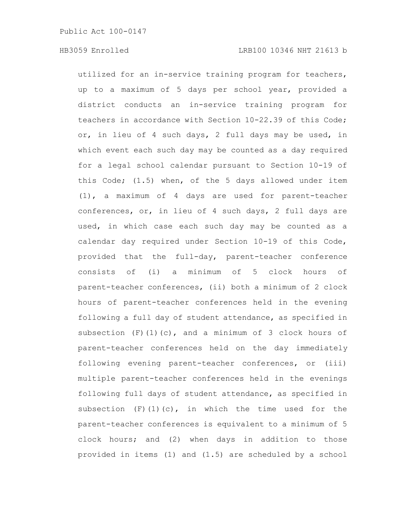utilized for an in-service training program for teachers, up to a maximum of 5 days per school year, provided a district conducts an in-service training program for teachers in accordance with Section 10-22.39 of this Code; or, in lieu of 4 such days, 2 full days may be used, in which event each such day may be counted as a day required for a legal school calendar pursuant to Section 10-19 of this Code; (1.5) when, of the 5 days allowed under item (1), a maximum of 4 days are used for parent-teacher conferences, or, in lieu of 4 such days, 2 full days are used, in which case each such day may be counted as a calendar day required under Section 10-19 of this Code, provided that the full-day, parent-teacher conference consists of (i) a minimum of 5 clock hours of parent-teacher conferences, (ii) both a minimum of 2 clock hours of parent-teacher conferences held in the evening following a full day of student attendance, as specified in subsection (F)(1)(c), and a minimum of 3 clock hours of parent-teacher conferences held on the day immediately following evening parent-teacher conferences, or (iii) multiple parent-teacher conferences held in the evenings following full days of student attendance, as specified in subsection  $(F)(1)(c)$ , in which the time used for the parent-teacher conferences is equivalent to a minimum of 5 clock hours; and (2) when days in addition to those provided in items (1) and (1.5) are scheduled by a school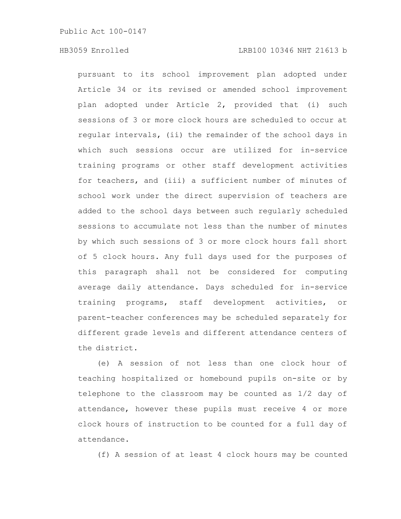pursuant to its school improvement plan adopted under Article 34 or its revised or amended school improvement plan adopted under Article 2, provided that (i) such sessions of 3 or more clock hours are scheduled to occur at regular intervals, (ii) the remainder of the school days in which such sessions occur are utilized for in-service training programs or other staff development activities for teachers, and (iii) a sufficient number of minutes of school work under the direct supervision of teachers are added to the school days between such regularly scheduled sessions to accumulate not less than the number of minutes by which such sessions of 3 or more clock hours fall short of 5 clock hours. Any full days used for the purposes of this paragraph shall not be considered for computing average daily attendance. Days scheduled for in-service training programs, staff development activities, or parent-teacher conferences may be scheduled separately for different grade levels and different attendance centers of the district.

(e) A session of not less than one clock hour of teaching hospitalized or homebound pupils on-site or by telephone to the classroom may be counted as 1/2 day of attendance, however these pupils must receive 4 or more clock hours of instruction to be counted for a full day of attendance.

(f) A session of at least 4 clock hours may be counted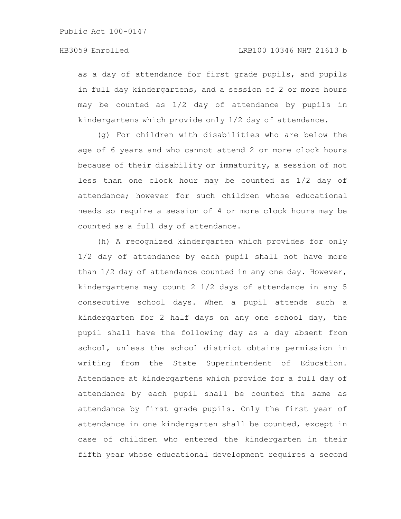as a day of attendance for first grade pupils, and pupils in full day kindergartens, and a session of 2 or more hours may be counted as 1/2 day of attendance by pupils in kindergartens which provide only 1/2 day of attendance.

(g) For children with disabilities who are below the age of 6 years and who cannot attend 2 or more clock hours because of their disability or immaturity, a session of not less than one clock hour may be counted as 1/2 day of attendance; however for such children whose educational needs so require a session of 4 or more clock hours may be counted as a full day of attendance.

(h) A recognized kindergarten which provides for only 1/2 day of attendance by each pupil shall not have more than 1/2 day of attendance counted in any one day. However, kindergartens may count 2 1/2 days of attendance in any 5 consecutive school days. When a pupil attends such a kindergarten for 2 half days on any one school day, the pupil shall have the following day as a day absent from school, unless the school district obtains permission in writing from the State Superintendent of Education. Attendance at kindergartens which provide for a full day of attendance by each pupil shall be counted the same as attendance by first grade pupils. Only the first year of attendance in one kindergarten shall be counted, except in case of children who entered the kindergarten in their fifth year whose educational development requires a second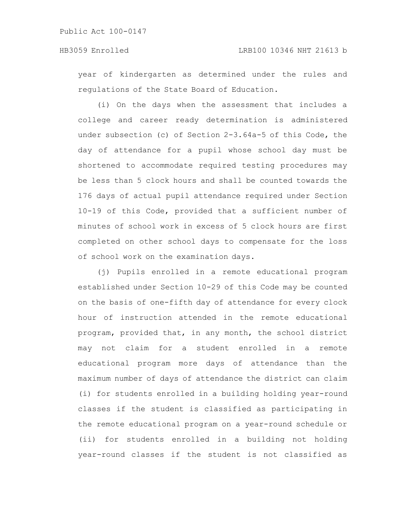year of kindergarten as determined under the rules and regulations of the State Board of Education.

(i) On the days when the assessment that includes a college and career ready determination is administered under subsection (c) of Section 2-3.64a-5 of this Code, the day of attendance for a pupil whose school day must be shortened to accommodate required testing procedures may be less than 5 clock hours and shall be counted towards the 176 days of actual pupil attendance required under Section 10-19 of this Code, provided that a sufficient number of minutes of school work in excess of 5 clock hours are first completed on other school days to compensate for the loss of school work on the examination days.

(j) Pupils enrolled in a remote educational program established under Section 10-29 of this Code may be counted on the basis of one-fifth day of attendance for every clock hour of instruction attended in the remote educational program, provided that, in any month, the school district may not claim for a student enrolled in a remote educational program more days of attendance than the maximum number of days of attendance the district can claim (i) for students enrolled in a building holding year-round classes if the student is classified as participating in the remote educational program on a year-round schedule or (ii) for students enrolled in a building not holding year-round classes if the student is not classified as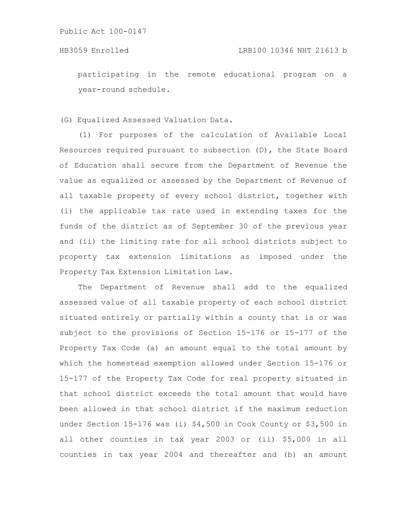participating in the remote educational program on a year-round schedule.

(G) Equalized Assessed Valuation Data.

(1) For purposes of the calculation of Available Local Resources required pursuant to subsection (D), the State Board of Education shall secure from the Department of Revenue the value as equalized or assessed by the Department of Revenue of all taxable property of every school district, together with (i) the applicable tax rate used in extending taxes for the funds of the district as of September 30 of the previous year and (ii) the limiting rate for all school districts subject to property tax extension limitations as imposed under the Property Tax Extension Limitation Law.

The Department of Revenue shall add to the equalized assessed value of all taxable property of each school district situated entirely or partially within a county that is or was subject to the provisions of Section 15-176 or 15-177 of the Property Tax Code (a) an amount equal to the total amount by which the homestead exemption allowed under Section 15-176 or 15-177 of the Property Tax Code for real property situated in that school district exceeds the total amount that would have been allowed in that school district if the maximum reduction under Section 15-176 was (i) \$4,500 in Cook County or \$3,500 in all other counties in tax year 2003 or (ii) \$5,000 in all counties in tax year 2004 and thereafter and (b) an amount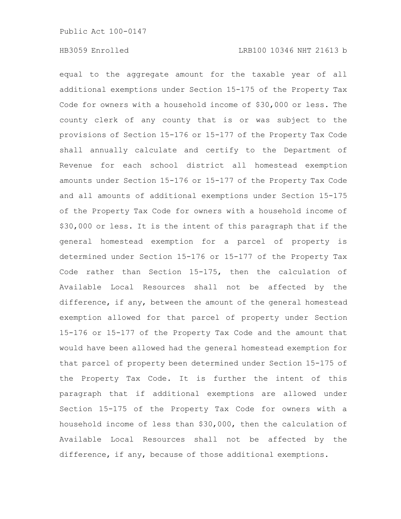equal to the aggregate amount for the taxable year of all additional exemptions under Section 15-175 of the Property Tax Code for owners with a household income of \$30,000 or less. The county clerk of any county that is or was subject to the provisions of Section 15-176 or 15-177 of the Property Tax Code shall annually calculate and certify to the Department of Revenue for each school district all homestead exemption amounts under Section 15-176 or 15-177 of the Property Tax Code and all amounts of additional exemptions under Section 15-175 of the Property Tax Code for owners with a household income of \$30,000 or less. It is the intent of this paragraph that if the general homestead exemption for a parcel of property is determined under Section 15-176 or 15-177 of the Property Tax Code rather than Section 15-175, then the calculation of Available Local Resources shall not be affected by the difference, if any, between the amount of the general homestead exemption allowed for that parcel of property under Section 15-176 or 15-177 of the Property Tax Code and the amount that would have been allowed had the general homestead exemption for that parcel of property been determined under Section 15-175 of the Property Tax Code. It is further the intent of this paragraph that if additional exemptions are allowed under Section 15-175 of the Property Tax Code for owners with a household income of less than \$30,000, then the calculation of Available Local Resources shall not be affected by the difference, if any, because of those additional exemptions.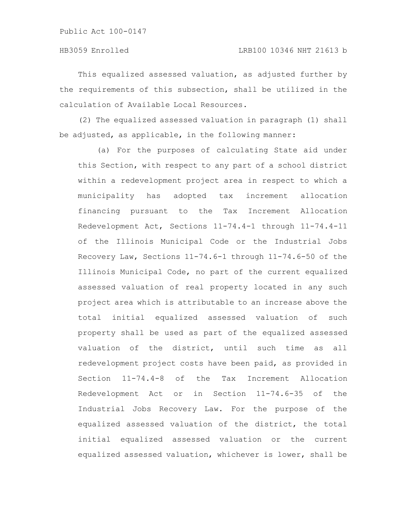This equalized assessed valuation, as adjusted further by the requirements of this subsection, shall be utilized in the calculation of Available Local Resources.

(2) The equalized assessed valuation in paragraph (1) shall be adjusted, as applicable, in the following manner:

(a) For the purposes of calculating State aid under this Section, with respect to any part of a school district within a redevelopment project area in respect to which a municipality has adopted tax increment allocation financing pursuant to the Tax Increment Allocation Redevelopment Act, Sections 11-74.4-1 through 11-74.4-11 of the Illinois Municipal Code or the Industrial Jobs Recovery Law, Sections 11-74.6-1 through 11-74.6-50 of the Illinois Municipal Code, no part of the current equalized assessed valuation of real property located in any such project area which is attributable to an increase above the total initial equalized assessed valuation of such property shall be used as part of the equalized assessed valuation of the district, until such time as all redevelopment project costs have been paid, as provided in Section 11-74.4-8 of the Tax Increment Allocation Redevelopment Act or in Section 11-74.6-35 of the Industrial Jobs Recovery Law. For the purpose of the equalized assessed valuation of the district, the total initial equalized assessed valuation or the current equalized assessed valuation, whichever is lower, shall be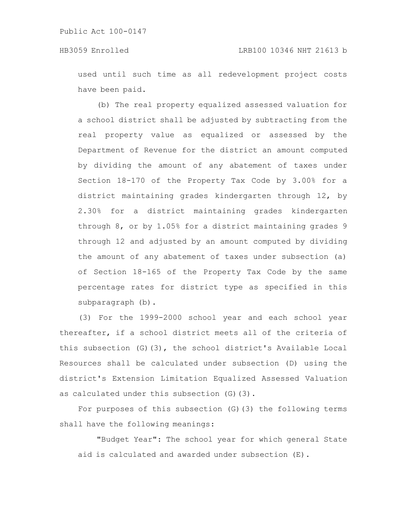used until such time as all redevelopment project costs have been paid.

(b) The real property equalized assessed valuation for a school district shall be adjusted by subtracting from the real property value as equalized or assessed by the Department of Revenue for the district an amount computed by dividing the amount of any abatement of taxes under Section 18-170 of the Property Tax Code by 3.00% for a district maintaining grades kindergarten through 12, by 2.30% for a district maintaining grades kindergarten through 8, or by 1.05% for a district maintaining grades 9 through 12 and adjusted by an amount computed by dividing the amount of any abatement of taxes under subsection (a) of Section 18-165 of the Property Tax Code by the same percentage rates for district type as specified in this subparagraph (b).

(3) For the 1999-2000 school year and each school year thereafter, if a school district meets all of the criteria of this subsection (G)(3), the school district's Available Local Resources shall be calculated under subsection (D) using the district's Extension Limitation Equalized Assessed Valuation as calculated under this subsection (G)(3).

For purposes of this subsection (G)(3) the following terms shall have the following meanings:

"Budget Year": The school year for which general State aid is calculated and awarded under subsection (E).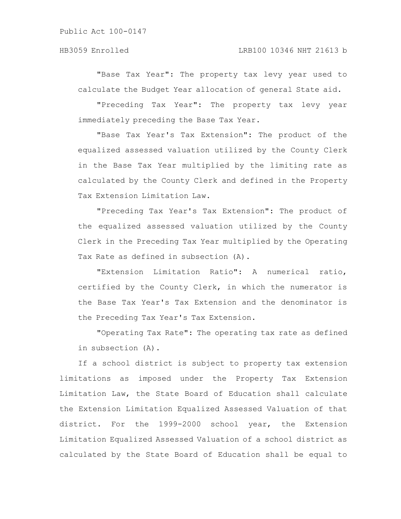"Base Tax Year": The property tax levy year used to calculate the Budget Year allocation of general State aid.

"Preceding Tax Year": The property tax levy year immediately preceding the Base Tax Year.

"Base Tax Year's Tax Extension": The product of the equalized assessed valuation utilized by the County Clerk in the Base Tax Year multiplied by the limiting rate as calculated by the County Clerk and defined in the Property Tax Extension Limitation Law.

"Preceding Tax Year's Tax Extension": The product of the equalized assessed valuation utilized by the County Clerk in the Preceding Tax Year multiplied by the Operating Tax Rate as defined in subsection (A).

"Extension Limitation Ratio": A numerical ratio, certified by the County Clerk, in which the numerator is the Base Tax Year's Tax Extension and the denominator is the Preceding Tax Year's Tax Extension.

"Operating Tax Rate": The operating tax rate as defined in subsection (A).

If a school district is subject to property tax extension limitations as imposed under the Property Tax Extension Limitation Law, the State Board of Education shall calculate the Extension Limitation Equalized Assessed Valuation of that district. For the 1999-2000 school year, the Extension Limitation Equalized Assessed Valuation of a school district as calculated by the State Board of Education shall be equal to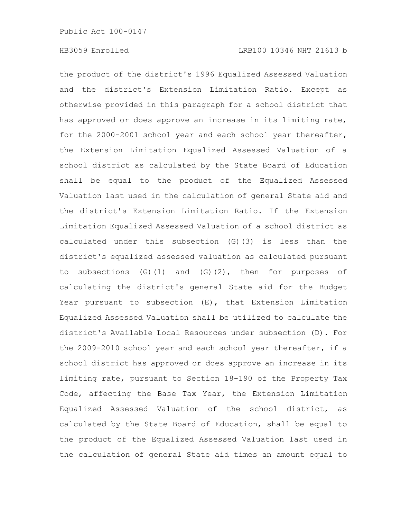the product of the district's 1996 Equalized Assessed Valuation and the district's Extension Limitation Ratio. Except as otherwise provided in this paragraph for a school district that has approved or does approve an increase in its limiting rate, for the 2000-2001 school year and each school year thereafter, the Extension Limitation Equalized Assessed Valuation of a school district as calculated by the State Board of Education shall be equal to the product of the Equalized Assessed Valuation last used in the calculation of general State aid and the district's Extension Limitation Ratio. If the Extension Limitation Equalized Assessed Valuation of a school district as calculated under this subsection (G)(3) is less than the district's equalized assessed valuation as calculated pursuant to subsections  $(G)$  (1) and  $(G)$  (2), then for purposes of calculating the district's general State aid for the Budget Year pursuant to subsection (E), that Extension Limitation Equalized Assessed Valuation shall be utilized to calculate the district's Available Local Resources under subsection (D). For the 2009-2010 school year and each school year thereafter, if a school district has approved or does approve an increase in its limiting rate, pursuant to Section 18-190 of the Property Tax Code, affecting the Base Tax Year, the Extension Limitation Equalized Assessed Valuation of the school district, as calculated by the State Board of Education, shall be equal to the product of the Equalized Assessed Valuation last used in the calculation of general State aid times an amount equal to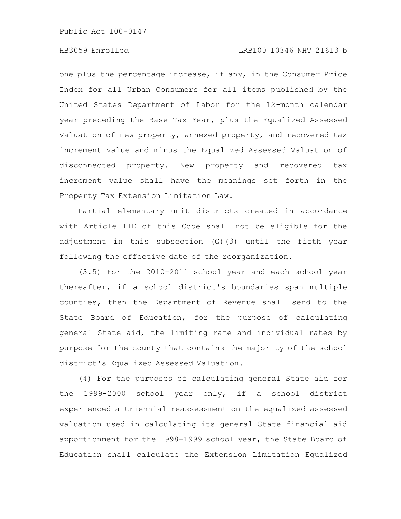# HB3059 Enrolled LRB100 10346 NHT 21613 b

one plus the percentage increase, if any, in the Consumer Price Index for all Urban Consumers for all items published by the United States Department of Labor for the 12-month calendar year preceding the Base Tax Year, plus the Equalized Assessed Valuation of new property, annexed property, and recovered tax increment value and minus the Equalized Assessed Valuation of disconnected property. New property and recovered tax increment value shall have the meanings set forth in the Property Tax Extension Limitation Law.

Partial elementary unit districts created in accordance with Article 11E of this Code shall not be eligible for the adjustment in this subsection (G)(3) until the fifth year following the effective date of the reorganization.

(3.5) For the 2010-2011 school year and each school year thereafter, if a school district's boundaries span multiple counties, then the Department of Revenue shall send to the State Board of Education, for the purpose of calculating general State aid, the limiting rate and individual rates by purpose for the county that contains the majority of the school district's Equalized Assessed Valuation.

(4) For the purposes of calculating general State aid for the 1999-2000 school year only, if a school district experienced a triennial reassessment on the equalized assessed valuation used in calculating its general State financial aid apportionment for the 1998-1999 school year, the State Board of Education shall calculate the Extension Limitation Equalized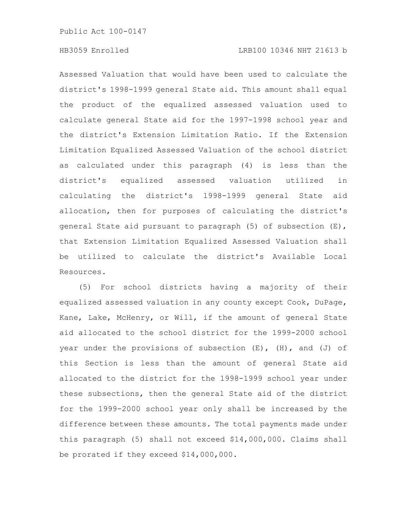## HB3059 Enrolled LRB100 10346 NHT 21613 b

Assessed Valuation that would have been used to calculate the district's 1998-1999 general State aid. This amount shall equal the product of the equalized assessed valuation used to calculate general State aid for the 1997-1998 school year and the district's Extension Limitation Ratio. If the Extension Limitation Equalized Assessed Valuation of the school district as calculated under this paragraph (4) is less than the district's equalized assessed valuation utilized in calculating the district's 1998-1999 general State aid allocation, then for purposes of calculating the district's general State aid pursuant to paragraph (5) of subsection (E), that Extension Limitation Equalized Assessed Valuation shall be utilized to calculate the district's Available Local Resources.

(5) For school districts having a majority of their equalized assessed valuation in any county except Cook, DuPage, Kane, Lake, McHenry, or Will, if the amount of general State aid allocated to the school district for the 1999-2000 school year under the provisions of subsection  $(E)$ ,  $(H)$ , and  $(J)$  of this Section is less than the amount of general State aid allocated to the district for the 1998-1999 school year under these subsections, then the general State aid of the district for the 1999-2000 school year only shall be increased by the difference between these amounts. The total payments made under this paragraph (5) shall not exceed \$14,000,000. Claims shall be prorated if they exceed \$14,000,000.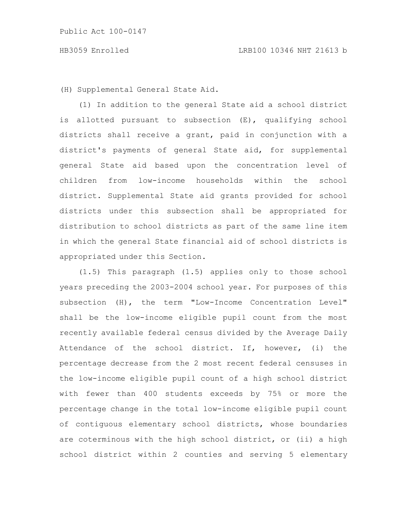(H) Supplemental General State Aid.

(1) In addition to the general State aid a school district is allotted pursuant to subsection (E), qualifying school districts shall receive a grant, paid in conjunction with a district's payments of general State aid, for supplemental general State aid based upon the concentration level of children from low-income households within the school district. Supplemental State aid grants provided for school districts under this subsection shall be appropriated for distribution to school districts as part of the same line item in which the general State financial aid of school districts is appropriated under this Section.

(1.5) This paragraph (1.5) applies only to those school years preceding the 2003-2004 school year. For purposes of this subsection (H), the term "Low-Income Concentration Level" shall be the low-income eligible pupil count from the most recently available federal census divided by the Average Daily Attendance of the school district. If, however, (i) the percentage decrease from the 2 most recent federal censuses in the low-income eligible pupil count of a high school district with fewer than 400 students exceeds by 75% or more the percentage change in the total low-income eligible pupil count of contiguous elementary school districts, whose boundaries are coterminous with the high school district, or (ii) a high school district within 2 counties and serving 5 elementary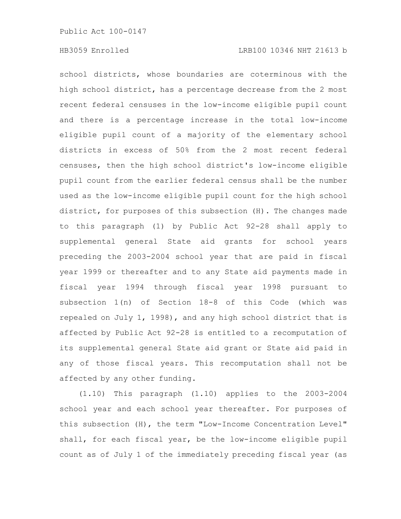school districts, whose boundaries are coterminous with the high school district, has a percentage decrease from the 2 most recent federal censuses in the low-income eligible pupil count and there is a percentage increase in the total low-income eligible pupil count of a majority of the elementary school districts in excess of 50% from the 2 most recent federal censuses, then the high school district's low-income eligible pupil count from the earlier federal census shall be the number used as the low-income eligible pupil count for the high school district, for purposes of this subsection (H). The changes made to this paragraph (1) by Public Act 92-28 shall apply to supplemental general State aid grants for school years preceding the 2003-2004 school year that are paid in fiscal year 1999 or thereafter and to any State aid payments made in fiscal year 1994 through fiscal year 1998 pursuant to subsection 1(n) of Section 18-8 of this Code (which was repealed on July 1, 1998), and any high school district that is affected by Public Act 92-28 is entitled to a recomputation of its supplemental general State aid grant or State aid paid in any of those fiscal years. This recomputation shall not be affected by any other funding.

(1.10) This paragraph (1.10) applies to the 2003-2004 school year and each school year thereafter. For purposes of this subsection (H), the term "Low-Income Concentration Level" shall, for each fiscal year, be the low-income eligible pupil count as of July 1 of the immediately preceding fiscal year (as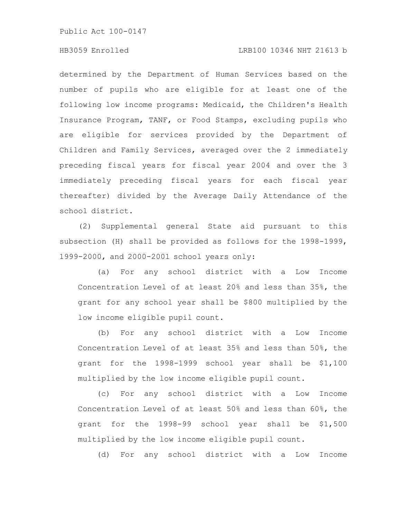## HB3059 Enrolled LRB100 10346 NHT 21613 b

determined by the Department of Human Services based on the number of pupils who are eligible for at least one of the following low income programs: Medicaid, the Children's Health Insurance Program, TANF, or Food Stamps, excluding pupils who are eligible for services provided by the Department of Children and Family Services, averaged over the 2 immediately preceding fiscal years for fiscal year 2004 and over the 3 immediately preceding fiscal years for each fiscal year thereafter) divided by the Average Daily Attendance of the school district.

(2) Supplemental general State aid pursuant to this subsection (H) shall be provided as follows for the 1998-1999, 1999-2000, and 2000-2001 school years only:

(a) For any school district with a Low Income Concentration Level of at least 20% and less than 35%, the grant for any school year shall be \$800 multiplied by the low income eligible pupil count.

(b) For any school district with a Low Income Concentration Level of at least 35% and less than 50%, the grant for the 1998-1999 school year shall be \$1,100 multiplied by the low income eligible pupil count.

(c) For any school district with a Low Income Concentration Level of at least 50% and less than 60%, the grant for the 1998-99 school year shall be \$1,500 multiplied by the low income eligible pupil count.

(d) For any school district with a Low Income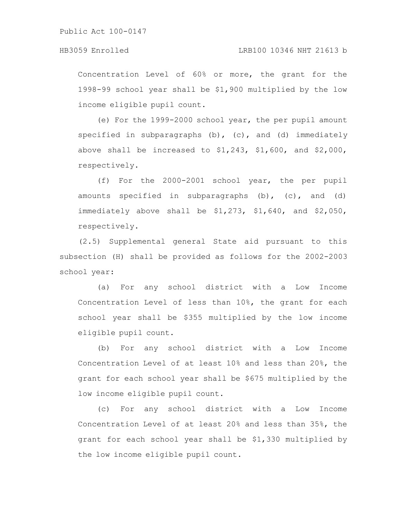# HB3059 Enrolled LRB100 10346 NHT 21613 b

Concentration Level of 60% or more, the grant for the 1998-99 school year shall be \$1,900 multiplied by the low income eligible pupil count.

(e) For the 1999-2000 school year, the per pupil amount specified in subparagraphs  $(b)$ ,  $(c)$ , and  $(d)$  immediately above shall be increased to  $$1,243$ ,  $$1,600$ , and  $$2,000$ , respectively.

(f) For the 2000-2001 school year, the per pupil amounts specified in subparagraphs (b), (c), and (d) immediately above shall be \$1,273, \$1,640, and \$2,050, respectively.

(2.5) Supplemental general State aid pursuant to this subsection (H) shall be provided as follows for the 2002-2003 school year:

(a) For any school district with a Low Income Concentration Level of less than 10%, the grant for each school year shall be \$355 multiplied by the low income eligible pupil count.

(b) For any school district with a Low Income Concentration Level of at least 10% and less than 20%, the grant for each school year shall be \$675 multiplied by the low income eligible pupil count.

(c) For any school district with a Low Income Concentration Level of at least 20% and less than 35%, the grant for each school year shall be \$1,330 multiplied by the low income eligible pupil count.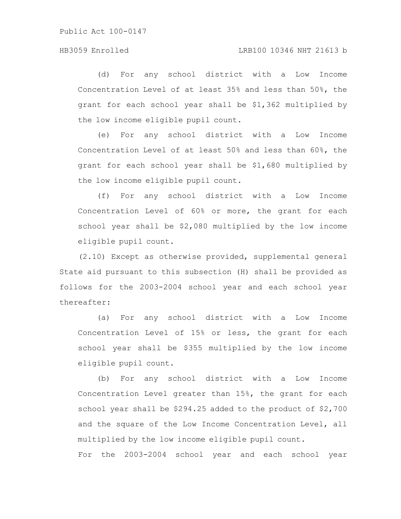(d) For any school district with a Low Income Concentration Level of at least 35% and less than 50%, the grant for each school year shall be \$1,362 multiplied by the low income eligible pupil count.

(e) For any school district with a Low Income Concentration Level of at least 50% and less than 60%, the grant for each school year shall be \$1,680 multiplied by the low income eligible pupil count.

(f) For any school district with a Low Income Concentration Level of 60% or more, the grant for each school year shall be \$2,080 multiplied by the low income eligible pupil count.

(2.10) Except as otherwise provided, supplemental general State aid pursuant to this subsection (H) shall be provided as follows for the 2003-2004 school year and each school year thereafter:

(a) For any school district with a Low Income Concentration Level of 15% or less, the grant for each school year shall be \$355 multiplied by the low income eligible pupil count.

(b) For any school district with a Low Income Concentration Level greater than 15%, the grant for each school year shall be \$294.25 added to the product of \$2,700 and the square of the Low Income Concentration Level, all multiplied by the low income eligible pupil count.

For the 2003-2004 school year and each school year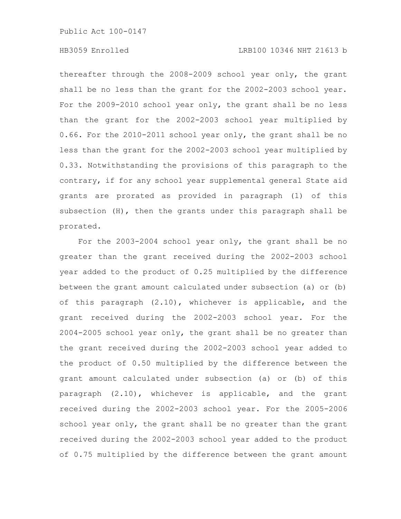## HB3059 Enrolled LRB100 10346 NHT 21613 b

thereafter through the 2008-2009 school year only, the grant shall be no less than the grant for the 2002-2003 school year. For the 2009-2010 school year only, the grant shall be no less than the grant for the 2002-2003 school year multiplied by 0.66. For the 2010-2011 school year only, the grant shall be no less than the grant for the 2002-2003 school year multiplied by 0.33. Notwithstanding the provisions of this paragraph to the contrary, if for any school year supplemental general State aid grants are prorated as provided in paragraph (1) of this subsection (H), then the grants under this paragraph shall be prorated.

For the 2003-2004 school year only, the grant shall be no greater than the grant received during the 2002-2003 school year added to the product of 0.25 multiplied by the difference between the grant amount calculated under subsection (a) or (b) of this paragraph (2.10), whichever is applicable, and the grant received during the 2002-2003 school year. For the 2004-2005 school year only, the grant shall be no greater than the grant received during the 2002-2003 school year added to the product of 0.50 multiplied by the difference between the grant amount calculated under subsection (a) or (b) of this paragraph (2.10), whichever is applicable, and the grant received during the 2002-2003 school year. For the 2005-2006 school year only, the grant shall be no greater than the grant received during the 2002-2003 school year added to the product of 0.75 multiplied by the difference between the grant amount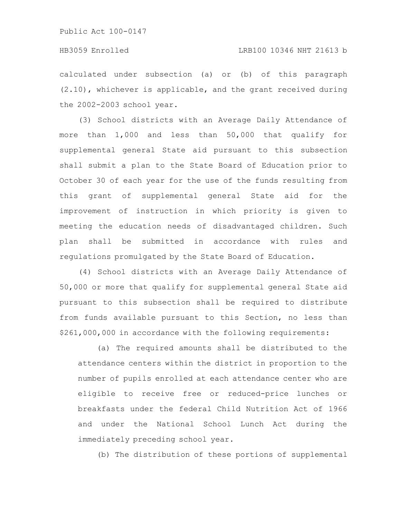calculated under subsection (a) or (b) of this paragraph (2.10), whichever is applicable, and the grant received during the 2002-2003 school year.

(3) School districts with an Average Daily Attendance of more than 1,000 and less than 50,000 that qualify for supplemental general State aid pursuant to this subsection shall submit a plan to the State Board of Education prior to October 30 of each year for the use of the funds resulting from this grant of supplemental general State aid for the improvement of instruction in which priority is given to meeting the education needs of disadvantaged children. Such plan shall be submitted in accordance with rules and regulations promulgated by the State Board of Education.

(4) School districts with an Average Daily Attendance of 50,000 or more that qualify for supplemental general State aid pursuant to this subsection shall be required to distribute from funds available pursuant to this Section, no less than \$261,000,000 in accordance with the following requirements:

(a) The required amounts shall be distributed to the attendance centers within the district in proportion to the number of pupils enrolled at each attendance center who are eligible to receive free or reduced-price lunches or breakfasts under the federal Child Nutrition Act of 1966 and under the National School Lunch Act during the immediately preceding school year.

(b) The distribution of these portions of supplemental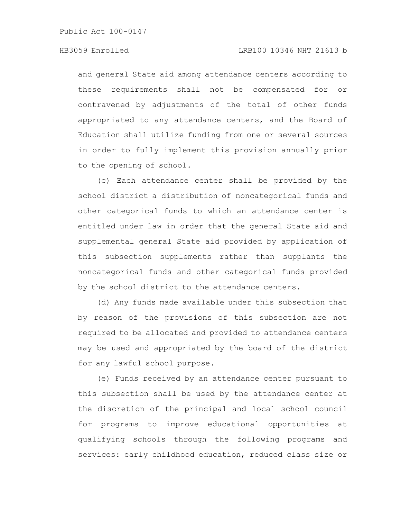## HB3059 Enrolled LRB100 10346 NHT 21613 b

and general State aid among attendance centers according to these requirements shall not be compensated for or contravened by adjustments of the total of other funds appropriated to any attendance centers, and the Board of Education shall utilize funding from one or several sources in order to fully implement this provision annually prior to the opening of school.

(c) Each attendance center shall be provided by the school district a distribution of noncategorical funds and other categorical funds to which an attendance center is entitled under law in order that the general State aid and supplemental general State aid provided by application of this subsection supplements rather than supplants the noncategorical funds and other categorical funds provided by the school district to the attendance centers.

(d) Any funds made available under this subsection that by reason of the provisions of this subsection are not required to be allocated and provided to attendance centers may be used and appropriated by the board of the district for any lawful school purpose.

(e) Funds received by an attendance center pursuant to this subsection shall be used by the attendance center at the discretion of the principal and local school council for programs to improve educational opportunities at qualifying schools through the following programs and services: early childhood education, reduced class size or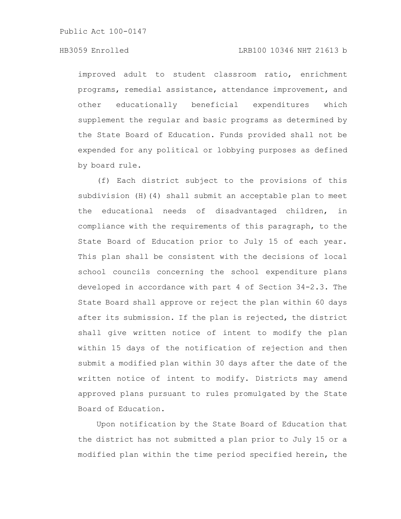### HB3059 Enrolled LRB100 10346 NHT 21613 b

improved adult to student classroom ratio, enrichment programs, remedial assistance, attendance improvement, and other educationally beneficial expenditures which supplement the regular and basic programs as determined by the State Board of Education. Funds provided shall not be expended for any political or lobbying purposes as defined by board rule.

(f) Each district subject to the provisions of this subdivision (H)(4) shall submit an acceptable plan to meet the educational needs of disadvantaged children, in compliance with the requirements of this paragraph, to the State Board of Education prior to July 15 of each year. This plan shall be consistent with the decisions of local school councils concerning the school expenditure plans developed in accordance with part 4 of Section 34-2.3. The State Board shall approve or reject the plan within 60 days after its submission. If the plan is rejected, the district shall give written notice of intent to modify the plan within 15 days of the notification of rejection and then submit a modified plan within 30 days after the date of the written notice of intent to modify. Districts may amend approved plans pursuant to rules promulgated by the State Board of Education.

Upon notification by the State Board of Education that the district has not submitted a plan prior to July 15 or a modified plan within the time period specified herein, the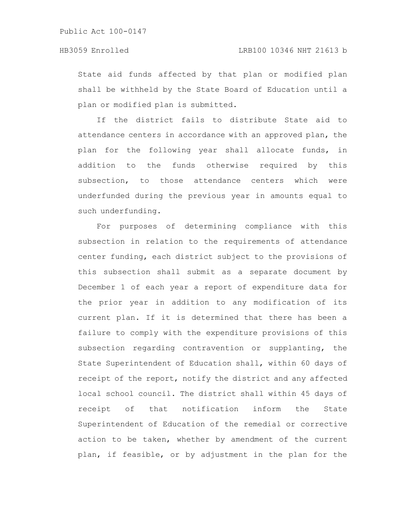State aid funds affected by that plan or modified plan shall be withheld by the State Board of Education until a plan or modified plan is submitted.

If the district fails to distribute State aid to attendance centers in accordance with an approved plan, the plan for the following year shall allocate funds, in addition to the funds otherwise required by this subsection, to those attendance centers which were underfunded during the previous year in amounts equal to such underfunding.

For purposes of determining compliance with this subsection in relation to the requirements of attendance center funding, each district subject to the provisions of this subsection shall submit as a separate document by December 1 of each year a report of expenditure data for the prior year in addition to any modification of its current plan. If it is determined that there has been a failure to comply with the expenditure provisions of this subsection regarding contravention or supplanting, the State Superintendent of Education shall, within 60 days of receipt of the report, notify the district and any affected local school council. The district shall within 45 days of receipt of that notification inform the State Superintendent of Education of the remedial or corrective action to be taken, whether by amendment of the current plan, if feasible, or by adjustment in the plan for the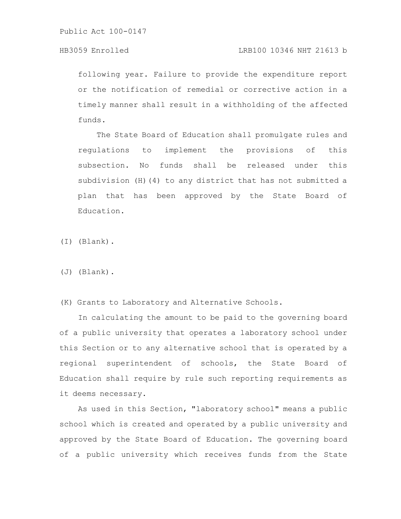# HB3059 Enrolled LRB100 10346 NHT 21613 b

following year. Failure to provide the expenditure report or the notification of remedial or corrective action in a timely manner shall result in a withholding of the affected funds.

The State Board of Education shall promulgate rules and regulations to implement the provisions of this subsection. No funds shall be released under this subdivision (H)(4) to any district that has not submitted a plan that has been approved by the State Board of Education.

(I) (Blank).

(J) (Blank).

(K) Grants to Laboratory and Alternative Schools.

In calculating the amount to be paid to the governing board of a public university that operates a laboratory school under this Section or to any alternative school that is operated by a regional superintendent of schools, the State Board of Education shall require by rule such reporting requirements as it deems necessary.

As used in this Section, "laboratory school" means a public school which is created and operated by a public university and approved by the State Board of Education. The governing board of a public university which receives funds from the State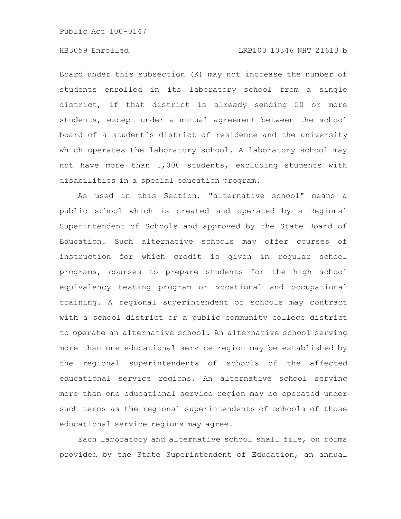## HB3059 Enrolled LRB100 10346 NHT 21613 b

Board under this subsection (K) may not increase the number of students enrolled in its laboratory school from a single district, if that district is already sending 50 or more students, except under a mutual agreement between the school board of a student's district of residence and the university which operates the laboratory school. A laboratory school may not have more than 1,000 students, excluding students with disabilities in a special education program.

As used in this Section, "alternative school" means a public school which is created and operated by a Regional Superintendent of Schools and approved by the State Board of Education. Such alternative schools may offer courses of instruction for which credit is given in regular school programs, courses to prepare students for the high school equivalency testing program or vocational and occupational training. A regional superintendent of schools may contract with a school district or a public community college district to operate an alternative school. An alternative school serving more than one educational service region may be established by the regional superintendents of schools of the affected educational service regions. An alternative school serving more than one educational service region may be operated under such terms as the regional superintendents of schools of those educational service regions may agree.

Each laboratory and alternative school shall file, on forms provided by the State Superintendent of Education, an annual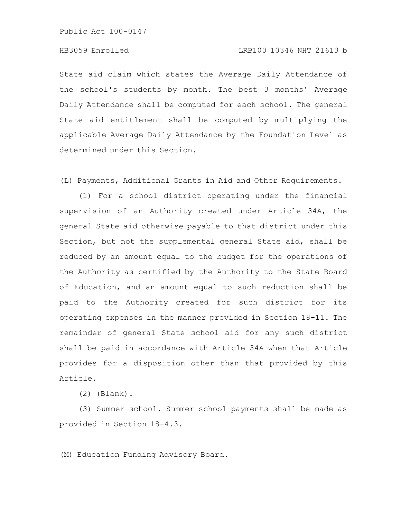### HB3059 Enrolled LRB100 10346 NHT 21613 b

State aid claim which states the Average Daily Attendance of the school's students by month. The best 3 months' Average Daily Attendance shall be computed for each school. The general State aid entitlement shall be computed by multiplying the applicable Average Daily Attendance by the Foundation Level as determined under this Section.

(L) Payments, Additional Grants in Aid and Other Requirements.

(1) For a school district operating under the financial supervision of an Authority created under Article 34A, the general State aid otherwise payable to that district under this Section, but not the supplemental general State aid, shall be reduced by an amount equal to the budget for the operations of the Authority as certified by the Authority to the State Board of Education, and an amount equal to such reduction shall be paid to the Authority created for such district for its operating expenses in the manner provided in Section 18-11. The remainder of general State school aid for any such district shall be paid in accordance with Article 34A when that Article provides for a disposition other than that provided by this Article.

(2) (Blank).

(3) Summer school. Summer school payments shall be made as provided in Section 18-4.3.

(M) Education Funding Advisory Board.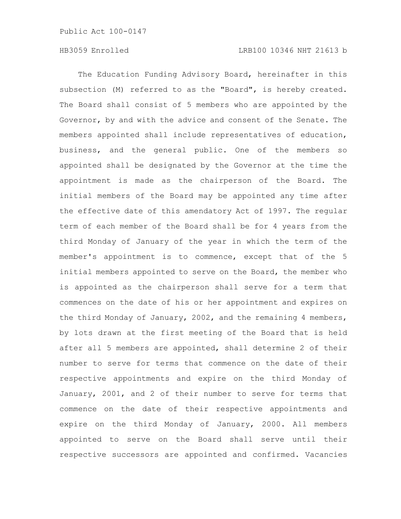The Education Funding Advisory Board, hereinafter in this subsection (M) referred to as the "Board", is hereby created. The Board shall consist of 5 members who are appointed by the Governor, by and with the advice and consent of the Senate. The members appointed shall include representatives of education, business, and the general public. One of the members so appointed shall be designated by the Governor at the time the appointment is made as the chairperson of the Board. The initial members of the Board may be appointed any time after the effective date of this amendatory Act of 1997. The regular term of each member of the Board shall be for 4 years from the third Monday of January of the year in which the term of the member's appointment is to commence, except that of the 5 initial members appointed to serve on the Board, the member who is appointed as the chairperson shall serve for a term that commences on the date of his or her appointment and expires on the third Monday of January, 2002, and the remaining 4 members, by lots drawn at the first meeting of the Board that is held after all 5 members are appointed, shall determine 2 of their number to serve for terms that commence on the date of their respective appointments and expire on the third Monday of January, 2001, and 2 of their number to serve for terms that commence on the date of their respective appointments and expire on the third Monday of January, 2000. All members appointed to serve on the Board shall serve until their respective successors are appointed and confirmed. Vacancies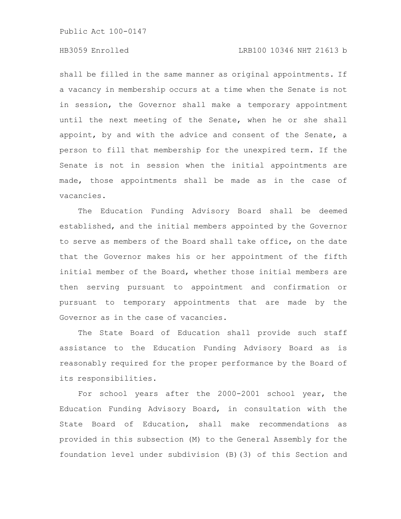# HB3059 Enrolled LRB100 10346 NHT 21613 b

shall be filled in the same manner as original appointments. If a vacancy in membership occurs at a time when the Senate is not in session, the Governor shall make a temporary appointment until the next meeting of the Senate, when he or she shall appoint, by and with the advice and consent of the Senate, a person to fill that membership for the unexpired term. If the Senate is not in session when the initial appointments are made, those appointments shall be made as in the case of vacancies.

The Education Funding Advisory Board shall be deemed established, and the initial members appointed by the Governor to serve as members of the Board shall take office, on the date that the Governor makes his or her appointment of the fifth initial member of the Board, whether those initial members are then serving pursuant to appointment and confirmation or pursuant to temporary appointments that are made by the Governor as in the case of vacancies.

The State Board of Education shall provide such staff assistance to the Education Funding Advisory Board as is reasonably required for the proper performance by the Board of its responsibilities.

For school years after the 2000-2001 school year, the Education Funding Advisory Board, in consultation with the State Board of Education, shall make recommendations as provided in this subsection (M) to the General Assembly for the foundation level under subdivision (B)(3) of this Section and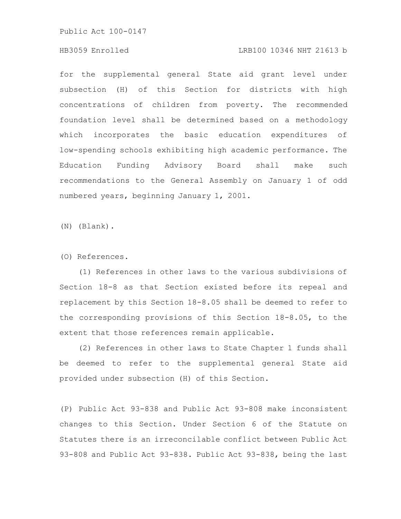# HB3059 Enrolled LRB100 10346 NHT 21613 b

for the supplemental general State aid grant level under subsection (H) of this Section for districts with high concentrations of children from poverty. The recommended foundation level shall be determined based on a methodology which incorporates the basic education expenditures of low-spending schools exhibiting high academic performance. The Education Funding Advisory Board shall make such recommendations to the General Assembly on January 1 of odd numbered years, beginning January 1, 2001.

(N) (Blank).

(O) References.

(1) References in other laws to the various subdivisions of Section 18-8 as that Section existed before its repeal and replacement by this Section 18-8.05 shall be deemed to refer to the corresponding provisions of this Section 18-8.05, to the extent that those references remain applicable.

(2) References in other laws to State Chapter 1 funds shall be deemed to refer to the supplemental general State aid provided under subsection (H) of this Section.

(P) Public Act 93-838 and Public Act 93-808 make inconsistent changes to this Section. Under Section 6 of the Statute on Statutes there is an irreconcilable conflict between Public Act 93-808 and Public Act 93-838. Public Act 93-838, being the last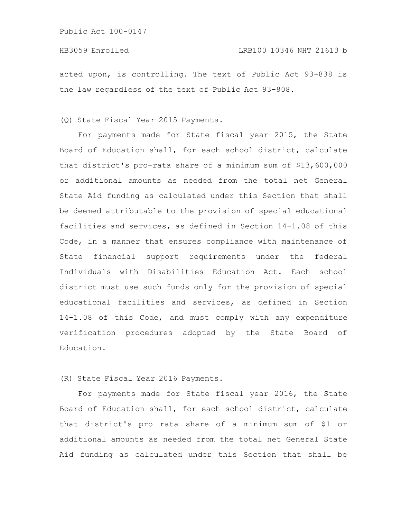acted upon, is controlling. The text of Public Act 93-838 is the law regardless of the text of Public Act 93-808.

(Q) State Fiscal Year 2015 Payments.

For payments made for State fiscal year 2015, the State Board of Education shall, for each school district, calculate that district's pro-rata share of a minimum sum of \$13,600,000 or additional amounts as needed from the total net General State Aid funding as calculated under this Section that shall be deemed attributable to the provision of special educational facilities and services, as defined in Section 14-1.08 of this Code, in a manner that ensures compliance with maintenance of State financial support requirements under the federal Individuals with Disabilities Education Act. Each school district must use such funds only for the provision of special educational facilities and services, as defined in Section 14-1.08 of this Code, and must comply with any expenditure verification procedures adopted by the State Board of Education.

(R) State Fiscal Year 2016 Payments.

For payments made for State fiscal year 2016, the State Board of Education shall, for each school district, calculate that district's pro rata share of a minimum sum of \$1 or additional amounts as needed from the total net General State Aid funding as calculated under this Section that shall be